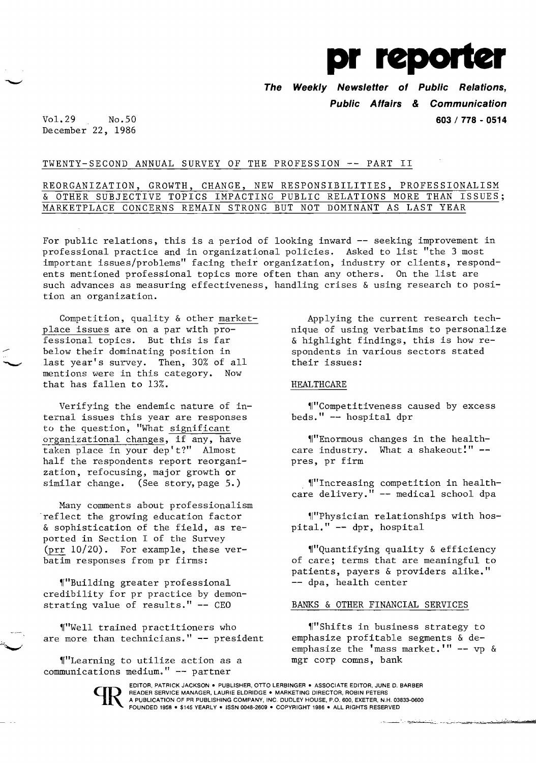

**The Weekly Newsletter of Public Relations, Public Affairs & Communication 603/ 778 - 0514** 

Vol.29 No.50 December 22, 1986

# TWENTY-SECOND ANNUAL SURVEY OF THE PROFESSION **--** PART II

# REORGANIZATION, GROWTH, CHANGE, NEW RESPONSIBILITIES, PROFESSIONALISM & OTHER SUBJECTIVE TOPICS IMPACTING PUBLIC RELATIONS MORE THAN ISSUES; MARKETPLACE CONCERNS REMAIN STRONG BUT NOT DOMINANT AS LAST YEAR

For public relations, this is a period of looking inward **--** seeking improvement in professional practice and in organizational policies. Asked to list "the 3 most important issues/problems" facing their organization, industry or clients, respondents mentioned professional topics more often than any others. On the list are such advances as measuring effectiveness, handling crises & using research to position an organization.

Competition, quality & other marketplace issues are on a par with pro fessional topics. But this is far below their dominating position in last year's survey. Then, 30% of all mentions were in this category. Now that has fallen to 13%.

Verifying the endemic nature of internal issues this year are responses to the question, "What significant organizational changes, if any, have taken place in your dep't?" Almost half the respondents report reorganization, refocusing, major growth or similar change. (See story, page 5.)

Many comments about professionalism reflect the growing education factor & sophistication of the field, as reported in Section I of the Survey (prr 10/20). For example, these verbatim responses from pr firms:

,r"Building greater professional credibility for pr practice by demon strating value of results." **--** CEO

"Well trained practitioners who are more than technicians." **--** president

"Learning to utilize action as a communications medium." **--** partner

Applying the current research technique of using verbatims to personalize & highlight findings, this is how respondents in various sectors stated their issues:

## HEALTHCARE

,r"Competitiveness caused by excess beds." **--** hospital dpr

 $"F$ Enormous changes in the healthcare industry. What a shakeout!" -pres, pr firm

"'Increasing competition in healthcare delivery." **--** medical school dpa

"Physician relationships with hospitaL" **--** dpr, hospital

"Quantifying quality & efficiency of care; terms that are meaningful to patients, payers & providers alike." **--** dpa, health center

### BANKS & OTHER FINANCIAL SERVICES

"Shifts in business strategy to emphasize profitable segments & deemphasize the 'mass market.'" **--** vp & mgr corp comns, bank



EDITOR, PATRICK JACKSON. PUBLISHER, OTTO LERBINGER • ASSOCIATE EDITOR, JUNE D. BARBER READER SERVICE MANAGER, LAURIE ELDRIDGE . MARKETING DIRECTOR, ROBIN PETERS A PUBLICATION OF PR PUBLISHING COMPANY, INC. DUDLEY HOUSE, P.O. 600, EXETER, N.H. 03833-0600 FOUNDED 1958 • \$145 YEARLY • ISSN 0048-2609 • COPYRIGHT 1986 • ALL RIGHTS RESERVED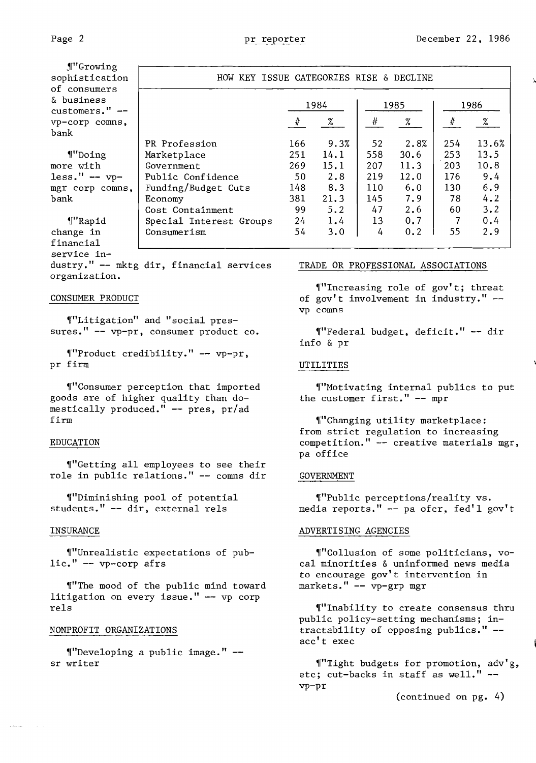| ¶"Growing      |
|----------------|
| sophistication |
| of consumers   |
| & business     |
| customers."    |
| vp-corp comns, |
| bank           |
|                |

'["Doing more with  $less." -- vp$ mgr corp comns, bank

'I"Rapid change in financial service in-

dustry." -- mktg dir, financial services organization.

### CONSUMER PRODUCT

,r"Litigation" and "social pressures." -- vp-pr, consumer product *co.* 

'I"Product credibility." -- vp-pr, pr firm

'I"Consumer perception that imported goods are of higher quality than domestically produced." -- pres, pr/ad firm

### EDUCATION

'I"Getting all employees to see their role in public relations." -- comns dir

,r"Diminishing pool of potential students." -- dir, external rels

#### INSURANCE

'l"Unrealistic expectations of public." -- vp-corp afrs

"The mood of the public mind toward litigation on every issue." -- vp corp rels

### NONPROFIT ORGANIZATIONS

 $\P''$ Developing a public image."  $$ sr writer

| KEY ISSUE CATEGORIES RISE & DECLINE<br>HOW. |      |      |      |      |      |       |
|---------------------------------------------|------|------|------|------|------|-------|
|                                             | 1984 |      | 1985 |      | 1986 |       |
|                                             | #    | %    | ∦    | %    | $\#$ | %     |
| PR Profession                               | 166  | 9.3% | 52   | 2.8% | 254  | 13.6% |
| Marketplace                                 | 251  | 14.1 | 558  | 30.6 | 253  | 13.5  |
| Government                                  | 269  | 15.1 | 207  | 11.3 | 203  | 10.8  |
| Public Confidence                           | 50   | 2.8  | 219  | 12.0 | 176  | 9.4   |
| Funding/Budget Cuts                         | 148  | 8.3  | 110  | 6.0  | 130  | 6.9   |
| Economy                                     | 381  | 21.3 | 145  | 7.9  | 78   | 4.2   |
| Cost Containment                            | 99   | 5.2  | 47   | 2.6  | 60   | 3.2   |
| Special Interest Groups                     | 24   | 1.4  | 13   | 0.7  |      | 0.4   |
| Consumerism                                 | 54   | 3.0  | 4    | 0.2  | 55   | 2.9   |

### TRADE OR PROFESSIONAL ASSOCIATIONS

'l"Increasing role of gov' t; threat of gov't involvement in industry." vp comns

,f"Federal budget, deficit." -- dir info & pr

### UTILITIES

'I"Motivating internal publics to put the customer first." -- mpr

"Changing utility marketplace: from strict regulation to increasing competition." -- creative materials mgr, pa office

### GOVERNMENT

,r"public perceptions/reality vs. media reports." -- pa ofcr, fed'l gov't

#### ADVERTISING AGENCIES

'f"Collusion of some politicians, vocal minorities & uninformed news media to encourage gov't intervention in markets." -- vp-grp mgr

"Inability to create consensus thru public policy-setting mechanisms; intractability of opposing publics." acc't exec

'f"Tight budgets for promotion, adv' g, etc; cut-backs in staff as well." vp-pr

(continued on pg. 4)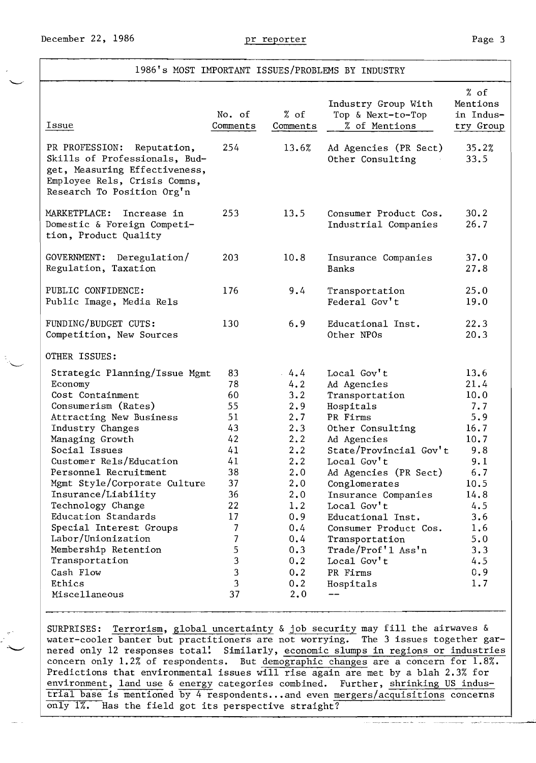## 1986's MOST IMPORTANT ISSUES/PROBLEMS BY INDUSTRY

| Issue                                                                                                                                                         | No. of<br>Comments | % of<br>Comments | Industry Group With<br>Top & Next-to-Top<br>% of Mentions | % of<br>Mentions<br>in Indus-<br>try Group |
|---------------------------------------------------------------------------------------------------------------------------------------------------------------|--------------------|------------------|-----------------------------------------------------------|--------------------------------------------|
| PR PROFESSION:<br>Reputation,<br>Skills of Professionals, Bud-<br>get, Measuring Effectiveness,<br>Employee Rels, Crisis Comns,<br>Research To Position Org'n | 254                | 13.6%            | Ad Agencies (PR Sect)<br>Other Consulting                 | 35.2%<br>33.5                              |
| MARKETPLACE:<br>Increase in<br>Domestic & Foreign Competi-<br>tion, Product Quality                                                                           | 253                | 13.5             | Consumer Product Cos.<br>Industrial Companies             | 30.2<br>26.7                               |
| GOVERNMENT:<br>Deregulation/<br>Regulation, Taxation                                                                                                          | 203                | 10.8             | Insurance Companies<br><b>Banks</b>                       | 37.0<br>27.8                               |
| PUBLIC CONFIDENCE:<br>Public Image, Media Rels                                                                                                                | 176                | 9.4              | Transportation<br>Federal Gov't                           | 25.0<br>19.0                               |
| FUNDING/BUDGET CUTS:<br>Competition, New Sources                                                                                                              | 130                | 6.9              | Educational Inst.<br>Other NPOs                           | 22.3<br>20.3                               |
| OTHER ISSUES:                                                                                                                                                 |                    |                  |                                                           |                                            |
| Strategic Planning/Issue Mgmt                                                                                                                                 | 83                 | $-4.4$           | Local Gov't                                               | 13.6                                       |
| Economy                                                                                                                                                       | 78                 | 4.2              | Ad Agencies                                               | 21.4                                       |
| Cost Containment                                                                                                                                              | 60                 | 3.2              | Transportation                                            | 10.0                                       |
| Consumerism (Rates)                                                                                                                                           | 55                 | 2.9              | Hospitals                                                 | 7.7                                        |
| Attracting New Business                                                                                                                                       | 51                 | 2.7              | PR Firms                                                  | 5.9                                        |
| Industry Changes                                                                                                                                              | 43<br>42           | 2.3              | Other Consulting                                          | 16.7                                       |
| Managing Growth<br>Social Issues                                                                                                                              | 41                 | 2.2<br>2, 2      | Ad Agencies<br>State/Provincial Gov't                     | 10.7<br>9.8                                |
| Customer Rels/Education                                                                                                                                       | 41                 | 2.2              | Local Gov't                                               | 9.1                                        |
| Personnel Recruitment                                                                                                                                         | 38                 | 2.0              |                                                           | 6.7                                        |
| Mgmt Style/Corporate Culture                                                                                                                                  | 37                 | 2.0              | Ad Agencies (PR Sect)<br>Conglomerates                    | 10.5                                       |
| Insurance/Liability                                                                                                                                           | 36                 | 2.0              | Insurance Companies                                       | 14.8                                       |
| Technology Change                                                                                                                                             | 22                 | 1.2              | Local Gov't                                               | 4.5                                        |
| Education Standards                                                                                                                                           | 17                 | 0.9              | Educational Inst.                                         | 3.6                                        |
| Special Interest Groups                                                                                                                                       | 7                  | 0.4              | Consumer Product Cos.                                     | 1.6                                        |
| Labor/Unionization                                                                                                                                            | 7                  | 0.4              | Transportation                                            | 5.0                                        |
| Membership Retention                                                                                                                                          | 5                  | 0.3              | Trade/Prof'1 Ass'n                                        | 3.3                                        |
| Transportation                                                                                                                                                | 3                  | 0.2              | Local Gov't                                               | 4.5                                        |
| Cash Flow                                                                                                                                                     | 3                  | 0.2              | PR Firms                                                  | 0.9                                        |
| Ethics                                                                                                                                                        | 3                  | 0.2              | Hospitals                                                 | 1.7                                        |
| Miscellaneous                                                                                                                                                 | 37                 | 2,0              |                                                           |                                            |
|                                                                                                                                                               |                    |                  |                                                           |                                            |

SURPRISES: Terrorism, global uncertainty & job security may fill the airwaves & water-cooler banter but practitioners are not worrying. The 3 issues together garnered only 12 responses total! Similarly, economic slumps in regions or industries concern only 1.2% of respondents. But demographic changes are a concern for 1.8%. Predictions that environmental issues will rise again are met by a blah 2.3% for environment, land use & energy categories combined. Further, shrinking US industrial base is mentioned by 4 respondents ..• and even mergers/acquisitions concerns only 1%. Has the field got its perspective straight?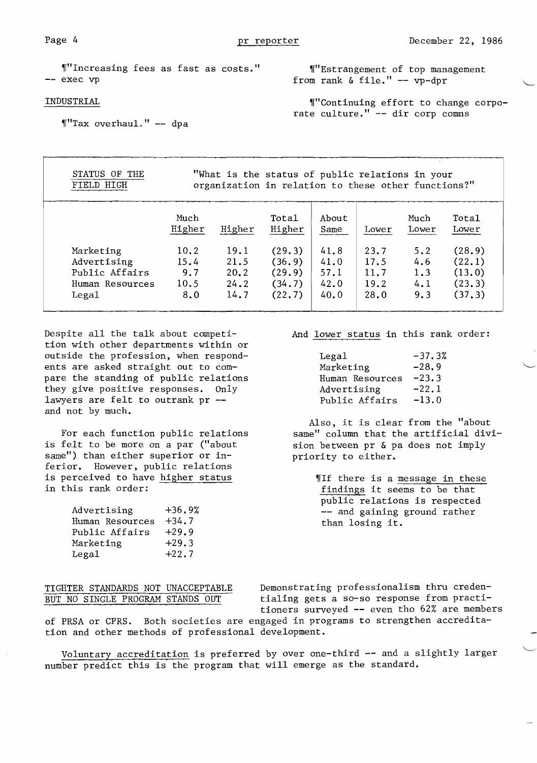"'Increasing fees as fast as costs." -- exec vp

#### INDUSTRIAL

 $\P''$ Tax overhaul." -- dpa

"'Estrangement of top management from rank & file." - vp-dpr

'I"Continuing effort to change corporate culture." -- dir corp comns

| STATUS<br>OF THE<br>FIELD HIGH                                         | "What is the status of public relations in your<br>organization in relation to these other functions?" |                                      |                                                |                                      |                                      |                                 |                                                |
|------------------------------------------------------------------------|--------------------------------------------------------------------------------------------------------|--------------------------------------|------------------------------------------------|--------------------------------------|--------------------------------------|---------------------------------|------------------------------------------------|
|                                                                        | Much<br>Higher                                                                                         | Higher                               | Tota1<br>Higher                                | About<br>Same                        | Lower                                | Much<br>Lower                   | Tota1<br>Lower                                 |
| Marketing<br>Advertising<br>Public Affairs<br>Human Resources<br>Lega1 | 10.2<br>15.4<br>9.7<br>10.5<br>8.0                                                                     | 19.1<br>21.5<br>20.2<br>24.2<br>14.7 | (29.3)<br>(36.9)<br>(29.9)<br>(34.7)<br>(22.7) | 41.8<br>41.0<br>57.1<br>42.0<br>40.0 | 23.7<br>17.5<br>11.7<br>19.2<br>28.0 | 5.2<br>4.6<br>1.3<br>4.1<br>9.3 | (28.9)<br>(22.1)<br>(13.0)<br>(23.3)<br>(37.3) |

Despite all the talk about competi-<br>And lower status in this rank order: tion with other departments within or outside the profession, when respondents are asked straight out to compare the standing of public relations they give positive responses.  $0nly$ lawyers are felt to outrank  $pr -1$ and not by much.

is felt to be more on a par ("about sion between pr  $\&$  pa does not imply same") than either superior or in-<br>priority to either. same") than either superior or inferior. However, public relations is perceived to have <u>higher status</u> (If there is a message in these<br>in this rank order: findings it seems to be that

| Advertising     | $+36.9%$ |
|-----------------|----------|
| Human Resources | $+34.7$  |
| Public Affairs  | $+29.9$  |
| Marketing       | $+29.3$  |
| Legal           | $+22.7$  |

| Legal           | $-37.3%$ |
|-----------------|----------|
| Marketing       | $-28.9$  |
| Human Resources | $-23.3$  |
| Advertising     | $-22.1$  |
| Public Affairs  | $-13.0$  |

Also, it is clear from the "about For each function public relations same" column that the artificial divi-

> findings it seems to be that public relations is respected -- and gaining ground rather than losing it.

TIGHTER STANDARDS NOT UNACCEPTABLE Demonstrating professionalism thru creden-<br>BUT NO SINGLE PROGRAM STANDS OUT tialing gets a so-so response from practitialing gets a so-so response from practitioners surveyed **--** even tho 62% are members

of PRSA or CPRS. Both societies are engaged in programs to strengthen accreditation and other methods of professional development.

Voluntary accreditation is preferred by over one-third -- and a slightly larger number predict this is the program that will emerge as the standard.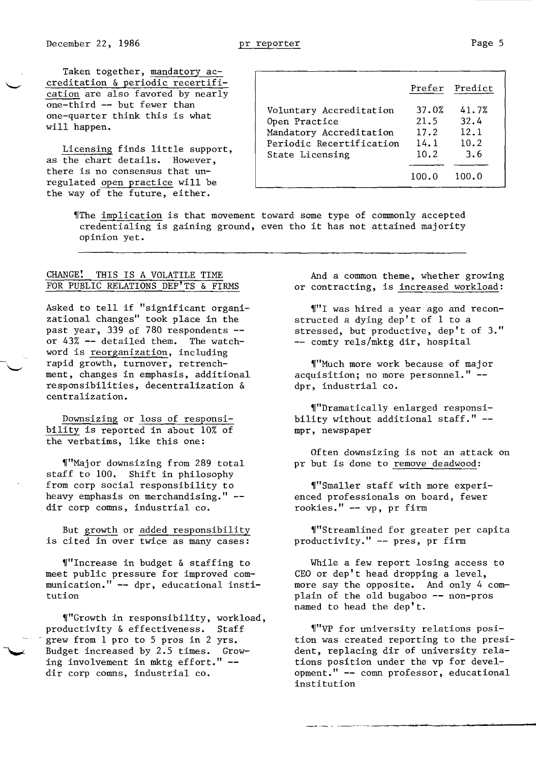Taken together, mandatory accreditation & periodic recertification are also favored by nearly one-third -- but fewer than one-quarter think this is what will happen.

Licensing finds little support, as the chart details. However, there is no consensus that unregulated open practice will be the way of the future, either.

|                                                                                                                    |                                       | Prefer Predict                       |
|--------------------------------------------------------------------------------------------------------------------|---------------------------------------|--------------------------------------|
| Voluntary Accreditation<br>Open Practice<br>Mandatory Accreditation<br>Periodic Recertification<br>State Licensing | 37.0%<br>21.5<br>17.2<br>14.1<br>10.2 | 41.7%<br>32.4<br>12.1<br>10.2<br>3.6 |
|                                                                                                                    | 100.0                                 | 100.0                                |

,[The implication is that movement toward some type of connnonly accepted credentialing is gaining ground, even tho it has not attained majority opinion yet.

## CHANGE! THIS IS A VOLATILE TIME FOR PUBLIC RELATIONS DEP'TS & FIRMS

Asked to tell if "significant organizational changes" took place in the past year, 339 of 780 respondents -or 43% -- detailed them. The watchword is reorganization, including rapid growth, turnover, retrenchment, changes in emphasis, additional responsibilities, decentralization & centralization.

Downsizing or loss of responsibility is reported in about 10% of the verbatims, like this one:

"Major downsizing from 289 total staff to 100. Shift in philosophy from corp social responsibility to heavy emphasis on merchandising." dir corp comns, industrial co.

But growth or added responsibility is cited in over twice as many cases:

 $''$ Increase in budget & staffing to meet public pressure for improved communication." -- dpr, educational institution

"Growth in responsibility, workload, productivity & effectiveness. Staff grew from 1 pro to 5 pros in 2 yrs. Budget increased by 2.5 times. Growing involvement in mktg effort." dir corp comns, industrial co.

And a common theme, whether growing or contracting, is increased workload:

'["1 was hired a year ago and reconstructed a dying dep't of 1 to a stressed, but productive, dep't of 3." -- comty rels/mktg dir, hospital

'["Much more work because of maj or acquisition; no more personnel." dpr, industrial co.

'["Dramatically enlarged responsibility without additional staff." mpr, newspaper

Often downsizing is not an attack on pr but is done to remove deadwood:

'f"Smaller staff with more experienced professionals on board, fewer rookies." -- vp, pr firm

"Streamlined for greater per capita productivity." -- pres, pr firm

While a few report losing access to CEO or dep't head dropping a level, more say the opposite. And only 4 complain of the old bugaboo -- non-pros named to head the dep't.

'I"vp for university relations position was created reporting to the president, replacing dir of university relations position under the vp for development." -- comn professor, educational institution